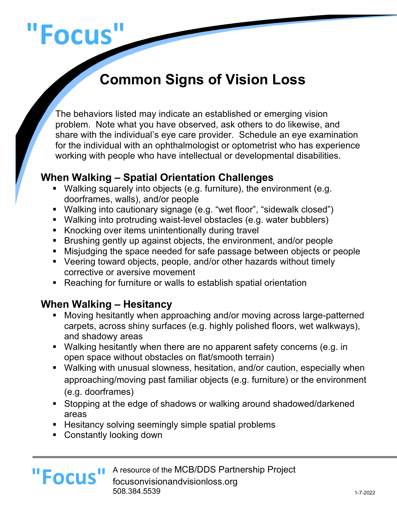# **"Focus"**

# **Common Signs of Vision Loss**

The behaviors listed may indicate an established or emerging vision problem. Note what you have observed, ask others to do likewise, and share with the individual's eye care provider. Schedule an eye examination for the individual with an ophthalmologist or optometrist who has experience working with people who have intellectual or developmental disabilities.

#### **When Walking – Spatial Orientation Challenges**

- Walking squarely into objects (e.g. furniture), the environment (e.g. doorframes, walls), and/or people
- Walking into cautionary signage (e.g. "wet floor", "sidewalk closed")
- Walking into protruding waist-level obstacles (e.g. water bubblers)
- Knocking over items unintentionally during travel
- § Brushing gently up against objects, the environment, and/or people
- Misjudging the space needed for safe passage between objects or people
- Veering toward objects, people, and/or other hazards without timely corrective or aversive movement
- Reaching for furniture or walls to establish spatial orientation

#### **When Walking – Hesitancy**

- § Moving hesitantly when approaching and/or moving across large-patterned carpets, across shiny surfaces (e.g. highly polished floors, wet walkways), and shadowy areas
- Walking hesitantly when there are no apparent safety concerns (e.g. in open space without obstacles on flat/smooth terrain)
- Walking with unusual slowness, hesitation, and/or caution, especially when approaching/moving past familiar objects (e.g. furniture) or the environment (e.g. doorframes)
- § Stopping at the edge of shadows or walking around shadowed/darkened areas
- Hesitancy solving seemingly simple spatial problems
- Constantly looking down

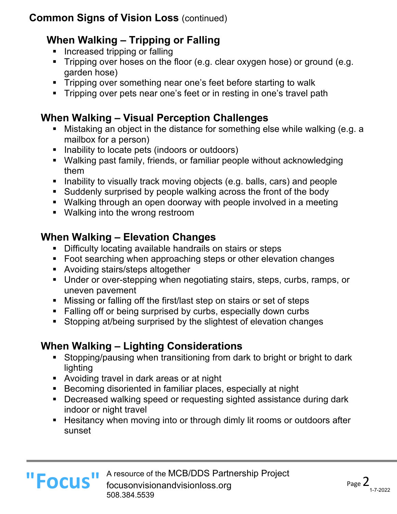# **When Walking – Tripping or Falling**

- **EXEDENT** Increased tripping or falling
- Tripping over hoses on the floor (e.g. clear oxygen hose) or ground (e.g. garden hose)
- Tripping over something near one's feet before starting to walk
- Tripping over pets near one's feet or in resting in one's travel path

# **When Walking – Visual Perception Challenges**

- Mistaking an object in the distance for something else while walking (e.g. a mailbox for a person)
- Inability to locate pets (indoors or outdoors)
- Walking past family, friends, or familiar people without acknowledging them
- Inability to visually track moving objects (e.g. balls, cars) and people
- § Suddenly surprised by people walking across the front of the body
- Walking through an open doorway with people involved in a meeting
- Walking into the wrong restroom

# **When Walking – Elevation Changes**

- Difficulty locating available handrails on stairs or steps
- Foot searching when approaching steps or other elevation changes
- Avoiding stairs/steps altogether
- Under or over-stepping when negotiating stairs, steps, curbs, ramps, or uneven pavement
- Missing or falling off the first/last step on stairs or set of steps
- Falling off or being surprised by curbs, especially down curbs
- § Stopping at/being surprised by the slightest of elevation changes

# **When Walking – Lighting Considerations**

- Stopping/pausing when transitioning from dark to bright or bright to dark lighting
- Avoiding travel in dark areas or at night
- Becoming disoriented in familiar places, especially at night
- Decreased walking speed or requesting sighted assistance during dark indoor or night travel
- Hesitancy when moving into or through dimly lit rooms or outdoors after sunset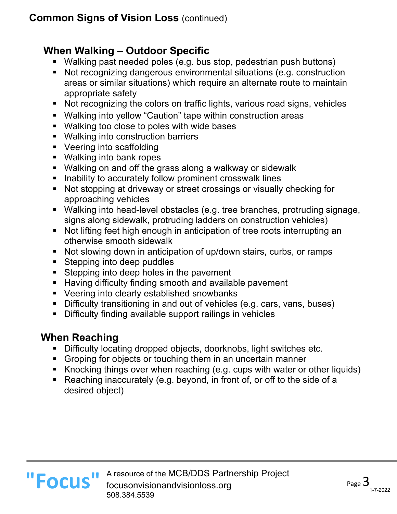#### **When Walking – Outdoor Specific**

- Walking past needed poles (e.g. bus stop, pedestrian push buttons)
- Not recognizing dangerous environmental situations (e.g. construction areas or similar situations) which require an alternate route to maintain appropriate safety
- Not recognizing the colors on traffic lights, various road signs, vehicles
- Walking into yellow "Caution" tape within construction areas
- Walking too close to poles with wide bases
- Walking into construction barriers
- Veering into scaffolding
- Walking into bank ropes
- Walking on and off the grass along a walkway or sidewalk
- Inability to accurately follow prominent crosswalk lines
- Not stopping at driveway or street crossings or visually checking for approaching vehicles
- Walking into head-level obstacles (e.g. tree branches, protruding signage, signs along sidewalk, protruding ladders on construction vehicles)
- Not lifting feet high enough in anticipation of tree roots interrupting an otherwise smooth sidewalk
- Not slowing down in anticipation of up/down stairs, curbs, or ramps
- Stepping into deep puddles
- Stepping into deep holes in the pavement
- Having difficulty finding smooth and available pavement
- Veering into clearly established snowbanks
- Difficulty transitioning in and out of vehicles (e.g. cars, vans, buses)
- Difficulty finding available support railings in vehicles

#### **When Reaching**

- Difficulty locating dropped objects, doorknobs, light switches etc.
- Groping for objects or touching them in an uncertain manner
- § Knocking things over when reaching (e.g. cups with water or other liquids)
- Reaching inaccurately (e.g. beyond, in front of, or off to the side of a desired object)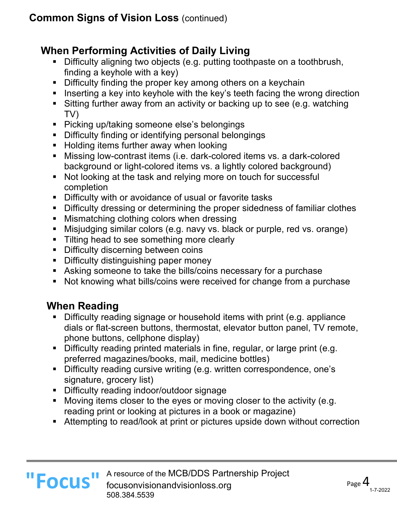#### **When Performing Activities of Daily Living**

- Difficulty aligning two objects (e.g. putting toothpaste on a toothbrush, finding a keyhole with a key)
- Difficulty finding the proper key among others on a keychain
- Inserting a key into keyhole with the key's teeth facing the wrong direction
- Sitting further away from an activity or backing up to see (e.g. watching TV)
- Picking up/taking someone else's belongings
- § Difficulty finding or identifying personal belongings
- Holding items further away when looking
- Missing low-contrast items (i.e. dark-colored items vs. a dark-colored background or light-colored items vs. a lightly colored background)
- Not looking at the task and relying more on touch for successful completion
- Difficulty with or avoidance of usual or favorite tasks
- Difficulty dressing or determining the proper sidedness of familiar clothes
- Mismatching clothing colors when dressing
- Misjudging similar colors (e.g. navy vs. black or purple, red vs. orange)
- Tilting head to see something more clearly
- Difficulty discerning between coins
- Difficulty distinguishing paper money
- Asking someone to take the bills/coins necessary for a purchase
- Not knowing what bills/coins were received for change from a purchase

#### **When Reading**

- § Difficulty reading signage or household items with print (e.g. appliance dials or flat-screen buttons, thermostat, elevator button panel, TV remote, phone buttons, cellphone display)
- § Difficulty reading printed materials in fine, regular, or large print (e.g. preferred magazines/books, mail, medicine bottles)
- § Difficulty reading cursive writing (e.g. written correspondence, one's signature, grocery list)
- **•** Difficulty reading indoor/outdoor signage
- Moving items closer to the eyes or moving closer to the activity (e.g. reading print or looking at pictures in a book or magazine)
- Attempting to read/look at print or pictures upside down without correction

#### A resource of the MCB/DDS Partnership Project **II FOCUS** A resource of the MCB/DDS Partnership Project<br> **FOCUS** focusonvisionandvisionloss.org<br>
FOCUS 508.384.5539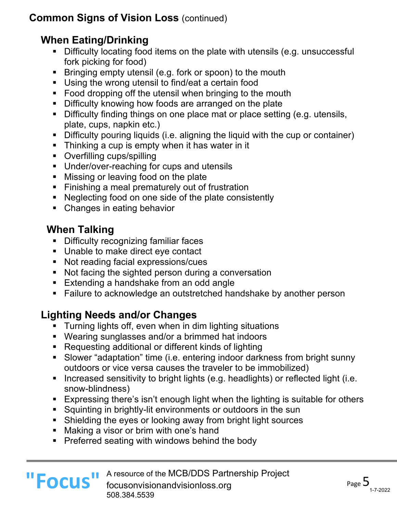#### **When Eating/Drinking**

- Difficulty locating food items on the plate with utensils (e.g. unsuccessful fork picking for food)
- Bringing empty utensil (e.g. fork or spoon) to the mouth
- Using the wrong utensil to find/eat a certain food
- Food dropping off the utensil when bringing to the mouth
- Difficulty knowing how foods are arranged on the plate
- Difficulty finding things on one place mat or place setting (e.g. utensils, plate, cups, napkin etc.)
- Difficulty pouring liquids (i.e. aligning the liquid with the cup or container)
- Thinking a cup is empty when it has water in it
- Overfilling cups/spilling
- Under/over-reaching for cups and utensils
- Missing or leaving food on the plate
- Finishing a meal prematurely out of frustration
- Neglecting food on one side of the plate consistently
- Changes in eating behavior

# **When Talking**

- § Difficulty recognizing familiar faces
- Unable to make direct eye contact
- Not reading facial expressions/cues
- Not facing the sighted person during a conversation
- Extending a handshake from an odd angle
- Failure to acknowledge an outstretched handshake by another person

# **Lighting Needs and/or Changes**

- **•** Turning lights off, even when in dim lighting situations
- Wearing sunglasses and/or a brimmed hat indoors
- Requesting additional or different kinds of lighting
- § Slower "adaptation" time (i.e. entering indoor darkness from bright sunny outdoors or vice versa causes the traveler to be immobilized)
- Increased sensitivity to bright lights (e.g. headlights) or reflected light (i.e. snow-blindness)
- Expressing there's isn't enough light when the lighting is suitable for others
- § Squinting in brightly-lit environments or outdoors in the sun
- Shielding the eyes or looking away from bright light sources
- Making a visor or brim with one's hand
- Preferred seating with windows behind the body